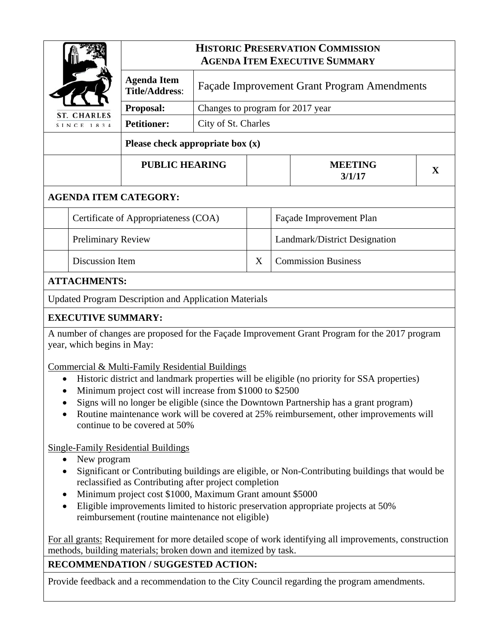| <b>ST. CHARLES</b><br>SINCE 1834                                                                                             |                           | <b>HISTORIC PRESERVATION COMMISSION</b><br><b>AGENDA ITEM EXECUTIVE SUMMARY</b> |                                                    |                               |                            |                          |   |  |
|------------------------------------------------------------------------------------------------------------------------------|---------------------------|---------------------------------------------------------------------------------|----------------------------------------------------|-------------------------------|----------------------------|--------------------------|---|--|
|                                                                                                                              |                           | <b>Agenda Item</b><br><b>Title/Address:</b>                                     | <b>Façade Improvement Grant Program Amendments</b> |                               |                            |                          |   |  |
|                                                                                                                              |                           | Proposal:                                                                       | Changes to program for 2017 year                   |                               |                            |                          |   |  |
|                                                                                                                              |                           | <b>Petitioner:</b>                                                              | City of St. Charles                                |                               |                            |                          |   |  |
|                                                                                                                              |                           | Please check appropriate box $(x)$                                              |                                                    |                               |                            |                          |   |  |
|                                                                                                                              |                           | <b>PUBLIC HEARING</b>                                                           |                                                    |                               |                            | <b>MEETING</b><br>3/1/17 | X |  |
| <b>AGENDA ITEM CATEGORY:</b>                                                                                                 |                           |                                                                                 |                                                    |                               |                            |                          |   |  |
|                                                                                                                              |                           | Certificate of Appropriateness (COA)                                            |                                                    |                               | Façade Improvement Plan    |                          |   |  |
|                                                                                                                              | <b>Preliminary Review</b> |                                                                                 |                                                    | Landmark/District Designation |                            |                          |   |  |
|                                                                                                                              | Discussion Item           |                                                                                 |                                                    | X                             | <b>Commission Business</b> |                          |   |  |
| <b>ATTACHMENTS:</b>                                                                                                          |                           |                                                                                 |                                                    |                               |                            |                          |   |  |
| <b>Updated Program Description and Application Materials</b>                                                                 |                           |                                                                                 |                                                    |                               |                            |                          |   |  |
| <b>EXECUTIVE SUMMARY:</b>                                                                                                    |                           |                                                                                 |                                                    |                               |                            |                          |   |  |
| A number of changes are proposed for the Façade Improvement Grant Program for the 2017 program<br>year, which begins in May: |                           |                                                                                 |                                                    |                               |                            |                          |   |  |
| Commercial & Multi-Family Residential Buildings                                                                              |                           |                                                                                 |                                                    |                               |                            |                          |   |  |
| Historic district and landmark properties will be eligible (no priority for SSA properties)<br>$\bullet$                     |                           |                                                                                 |                                                    |                               |                            |                          |   |  |

- Minimum project cost will increase from \$1000 to \$2500
- Signs will no longer be eligible (since the Downtown Partnership has a grant program)
- Routine maintenance work will be covered at 25% reimbursement, other improvements will continue to be covered at 50%

Single-Family Residential Buildings

- New program
- Significant or Contributing buildings are eligible, or Non-Contributing buildings that would be reclassified as Contributing after project completion
- Minimum project cost \$1000, Maximum Grant amount \$5000
- Eligible improvements limited to historic preservation appropriate projects at 50% reimbursement (routine maintenance not eligible)

For all grants: Requirement for more detailed scope of work identifying all improvements, construction methods, building materials; broken down and itemized by task.

# **RECOMMENDATION / SUGGESTED ACTION:**

Provide feedback and a recommendation to the City Council regarding the program amendments.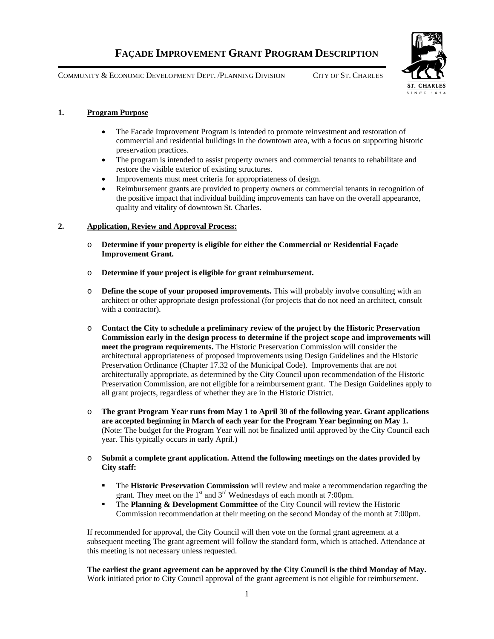COMMUNITY & ECONOMIC DEVELOPMENT DEPT. /PLANNING DIVISION CITY OF ST. CHARLES





# **1. Program Purpose**

- The Facade Improvement Program is intended to promote reinvestment and restoration of commercial and residential buildings in the downtown area, with a focus on supporting historic preservation practices.
- The program is intended to assist property owners and commercial tenants to rehabilitate and restore the visible exterior of existing structures.
- Improvements must meet criteria for appropriateness of design.
- Reimbursement grants are provided to property owners or commercial tenants in recognition of the positive impact that individual building improvements can have on the overall appearance, quality and vitality of downtown St. Charles.

# **2. Application, Review and Approval Process:**

- o **Determine if your property is eligible for either the Commercial or Residential Façade Improvement Grant.**
- o **Determine if your project is eligible for grant reimbursement.**
- o **Define the scope of your proposed improvements.** This will probably involve consulting with an architect or other appropriate design professional (for projects that do not need an architect, consult with a contractor).
- o **Contact the City to schedule a preliminary review of the project by the Historic Preservation Commission early in the design process to determine if the project scope and improvements will meet the program requirements.** The Historic Preservation Commission will consider the architectural appropriateness of proposed improvements using Design Guidelines and the Historic Preservation Ordinance (Chapter 17.32 of the Municipal Code). Improvements that are not architecturally appropriate, as determined by the City Council upon recommendation of the Historic Preservation Commission, are not eligible for a reimbursement grant. The Design Guidelines apply to all grant projects, regardless of whether they are in the Historic District.
- o **The grant Program Year runs from May 1 to April 30 of the following year. Grant applications are accepted beginning in March of each year for the Program Year beginning on May 1.**  (Note: The budget for the Program Year will not be finalized until approved by the City Council each year. This typically occurs in early April.)
- o **Submit a complete grant application. Attend the following meetings on the dates provided by City staff:** 
	- The **Historic Preservation Commission** will review and make a recommendation regarding the grant. They meet on the  $1<sup>st</sup>$  and  $3<sup>rd</sup>$  Wednesdays of each month at 7:00pm.
	- **The Planning & Development Committee** of the City Council will review the Historic Commission recommendation at their meeting on the second Monday of the month at 7:00pm.

If recommended for approval, the City Council will then vote on the formal grant agreement at a subsequent meeting The grant agreement will follow the standard form, which is attached. Attendance at this meeting is not necessary unless requested.

**The earliest the grant agreement can be approved by the City Council is the third Monday of May.**  Work initiated prior to City Council approval of the grant agreement is not eligible for reimbursement.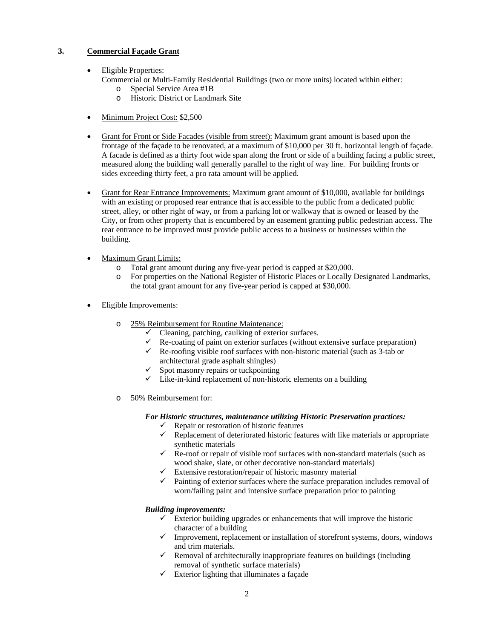# **3. Commercial Façade Grant**

- Eligible Properties:
	- Commercial or Multi-Family Residential Buildings (two or more units) located within either: o Special Service Area #1B
		- o Historic District or Landmark Site
- Minimum Project Cost: \$2,500
- Grant for Front or Side Facades (visible from street): Maximum grant amount is based upon the frontage of the façade to be renovated, at a maximum of \$10,000 per 30 ft. horizontal length of façade. A facade is defined as a thirty foot wide span along the front or side of a building facing a public street, measured along the building wall generally parallel to the right of way line. For building fronts or sides exceeding thirty feet, a pro rata amount will be applied.
- Grant for Rear Entrance Improvements: Maximum grant amount of \$10,000, available for buildings with an existing or proposed rear entrance that is accessible to the public from a dedicated public street, alley, or other right of way, or from a parking lot or walkway that is owned or leased by the City, or from other property that is encumbered by an easement granting public pedestrian access. The rear entrance to be improved must provide public access to a business or businesses within the building.
- Maximum Grant Limits:
	- o Total grant amount during any five-year period is capped at \$20,000.
	- o For properties on the National Register of Historic Places or Locally Designated Landmarks, the total grant amount for any five-year period is capped at \$30,000.
- Eligible Improvements:
	- o 25% Reimbursement for Routine Maintenance:
		- $\checkmark$  Cleaning, patching, caulking of exterior surfaces.
		- $\checkmark$  Re-coating of paint on exterior surfaces (without extensive surface preparation)
		- Re-roofing visible roof surfaces with non-historic material (such as  $3$ -tab or architectural grade asphalt shingles)
		- $\checkmark$  Spot masonry repairs or tuckpointing
		- $\checkmark$  Like-in-kind replacement of non-historic elements on a building
	- o 50% Reimbursement for:

### *For Historic structures, maintenance utilizing Historic Preservation practices:*

- $\checkmark$  Repair or restoration of historic features
- $\checkmark$  Replacement of deteriorated historic features with like materials or appropriate synthetic materials
- $\checkmark$  Re-roof or repair of visible roof surfaces with non-standard materials (such as wood shake, slate, or other decorative non-standard materials)
- $\checkmark$  Extensive restoration/repair of historic masonry material
- $\checkmark$  Painting of exterior surfaces where the surface preparation includes removal of worn/failing paint and intensive surface preparation prior to painting

### *Building improvements:*

- $\checkmark$  Exterior building upgrades or enhancements that will improve the historic character of a building
- $\checkmark$  Improvement, replacement or installation of storefront systems, doors, windows and trim materials.
- $\checkmark$  Removal of architecturally inappropriate features on buildings (including removal of synthetic surface materials)
- $\checkmark$  Exterior lighting that illuminates a façade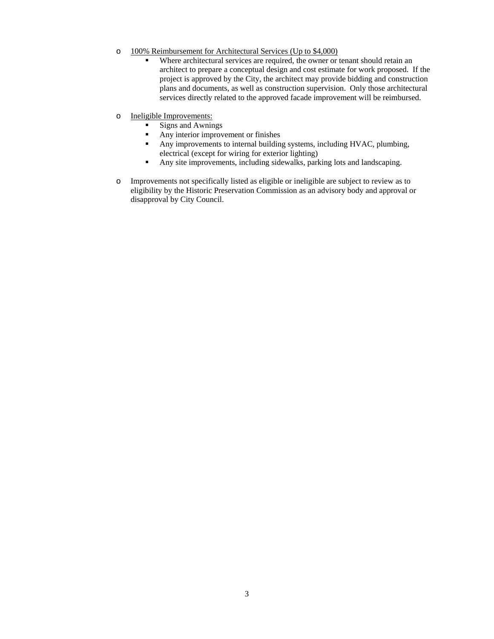- o 100% Reimbursement for Architectural Services (Up to \$4,000)
	- Where architectural services are required, the owner or tenant should retain an architect to prepare a conceptual design and cost estimate for work proposed. If the project is approved by the City, the architect may provide bidding and construction plans and documents, as well as construction supervision. Only those architectural services directly related to the approved facade improvement will be reimbursed.
- o Ineligible Improvements:
	- Signs and Awnings
	- **Any interior improvement or finishes**
	- Any improvements to internal building systems, including HVAC, plumbing, electrical (except for wiring for exterior lighting)
	- Any site improvements, including sidewalks, parking lots and landscaping.
- o Improvements not specifically listed as eligible or ineligible are subject to review as to eligibility by the Historic Preservation Commission as an advisory body and approval or disapproval by City Council.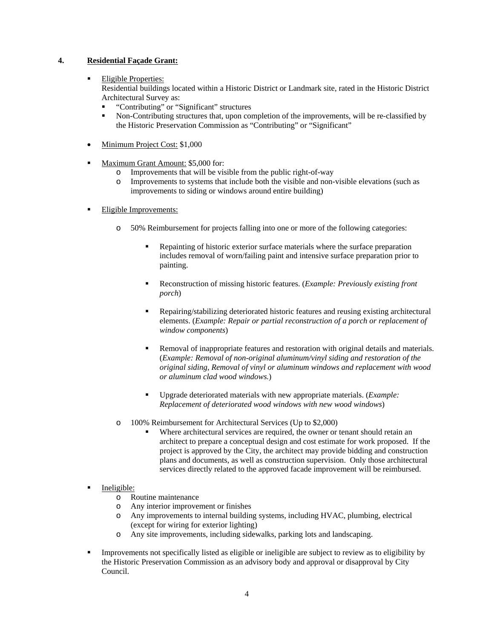### **4. Residential Façade Grant:**

#### Eligible Properties:

Residential buildings located within a Historic District or Landmark site, rated in the Historic District Architectural Survey as:

- "Contributing" or "Significant" structures
- Non-Contributing structures that, upon completion of the improvements, will be re-classified by the Historic Preservation Commission as "Contributing" or "Significant"
- Minimum Project Cost: \$1,000
- Maximum Grant Amount: \$5,000 for:
	- o Improvements that will be visible from the public right-of-way
	- o Improvements to systems that include both the visible and non-visible elevations (such as improvements to siding or windows around entire building)
- Eligible Improvements:
	- o 50% Reimbursement for projects falling into one or more of the following categories:
		- Repainting of historic exterior surface materials where the surface preparation includes removal of worn/failing paint and intensive surface preparation prior to painting.
		- Reconstruction of missing historic features. (*Example: Previously existing front porch*)
		- Repairing/stabilizing deteriorated historic features and reusing existing architectural elements. (*Example: Repair or partial reconstruction of a porch or replacement of window components*)
		- Removal of inappropriate features and restoration with original details and materials. (*Example: Removal of non-original aluminum/vinyl siding and restoration of the original siding, Removal of vinyl or aluminum windows and replacement with wood or aluminum clad wood windows.*)
		- Upgrade deteriorated materials with new appropriate materials. (*Example: Replacement of deteriorated wood windows with new wood windows*)
	- o 100% Reimbursement for Architectural Services (Up to \$2,000)
		- Where architectural services are required, the owner or tenant should retain an architect to prepare a conceptual design and cost estimate for work proposed. If the project is approved by the City, the architect may provide bidding and construction plans and documents, as well as construction supervision. Only those architectural services directly related to the approved facade improvement will be reimbursed.
- Ineligible:
	- o Routine maintenance
	- o Any interior improvement or finishes
	- o Any improvements to internal building systems, including HVAC, plumbing, electrical (except for wiring for exterior lighting)
	- o Any site improvements, including sidewalks, parking lots and landscaping.
- Improvements not specifically listed as eligible or ineligible are subject to review as to eligibility by the Historic Preservation Commission as an advisory body and approval or disapproval by City Council.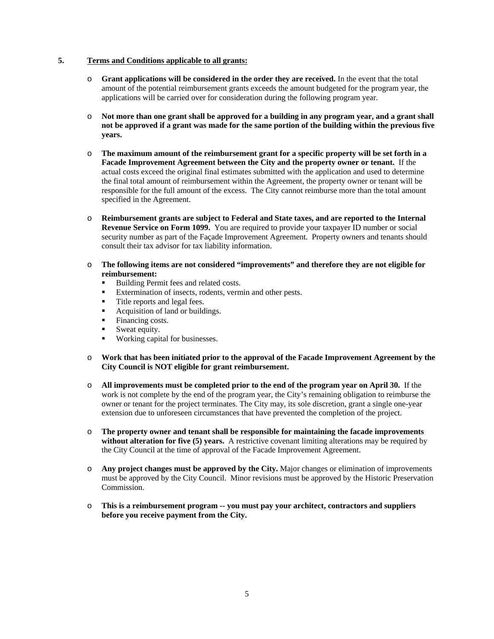#### **5. Terms and Conditions applicable to all grants:**

- o **Grant applications will be considered in the order they are received.** In the event that the total amount of the potential reimbursement grants exceeds the amount budgeted for the program year, the applications will be carried over for consideration during the following program year.
- o **Not more than one grant shall be approved for a building in any program year, and a grant shall not be approved if a grant was made for the same portion of the building within the previous five years.**
- o **The maximum amount of the reimbursement grant for a specific property will be set forth in a Facade Improvement Agreement between the City and the property owner or tenant.** If the actual costs exceed the original final estimates submitted with the application and used to determine the final total amount of reimbursement within the Agreement, the property owner or tenant will be responsible for the full amount of the excess. The City cannot reimburse more than the total amount specified in the Agreement.
- o **Reimbursement grants are subject to Federal and State taxes, and are reported to the Internal Revenue Service on Form 1099.** You are required to provide your taxpayer ID number or social security number as part of the Façade Improvement Agreement. Property owners and tenants should consult their tax advisor for tax liability information.
- o **The following items are not considered "improvements" and therefore they are not eligible for reimbursement:** 
	- Building Permit fees and related costs.
	- Extermination of insects, rodents, vermin and other pests.
	- Title reports and legal fees.
	- Acquisition of land or buildings.
	- Financing costs.
	- Sweat equity.
	- Working capital for businesses.
- o **Work that has been initiated prior to the approval of the Facade Improvement Agreement by the City Council is NOT eligible for grant reimbursement.**
- o **All improvements must be completed prior to the end of the program year on April 30.** If the work is not complete by the end of the program year, the City's remaining obligation to reimburse the owner or tenant for the project terminates. The City may, its sole discretion, grant a single one-year extension due to unforeseen circumstances that have prevented the completion of the project.
- o **The property owner and tenant shall be responsible for maintaining the facade improvements**  without alteration for five (5) years. A restrictive covenant limiting alterations may be required by the City Council at the time of approval of the Facade Improvement Agreement.
- o **Any project changes must be approved by the City.** Major changes or elimination of improvements must be approved by the City Council. Minor revisions must be approved by the Historic Preservation Commission.
- o **This is a reimbursement program -- you must pay your architect, contractors and suppliers before you receive payment from the City.**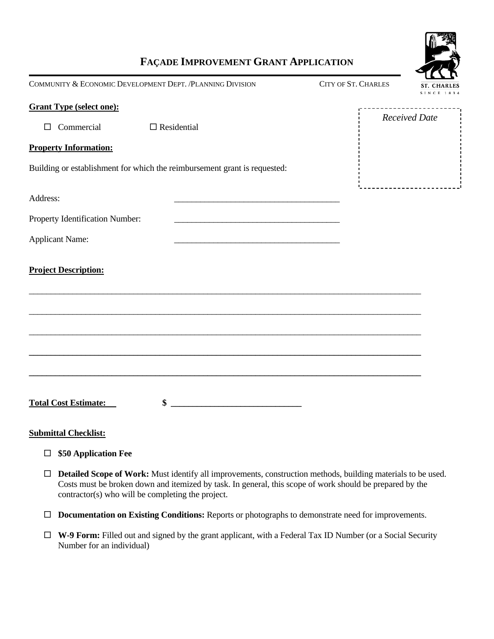

# **FAÇADE IMPROVEMENT GRANT APPLICATION**

| COMMUNITY & ECONOMIC DEVELOPMENT DEPT. / PLANNING DIVISION<br><b>CITY OF ST. CHARLES</b><br>ST. CHARLES<br><b>SINCE 1834</b> |                                                                                                                                                                                                                                                                                                                     |                      |  |  |  |
|------------------------------------------------------------------------------------------------------------------------------|---------------------------------------------------------------------------------------------------------------------------------------------------------------------------------------------------------------------------------------------------------------------------------------------------------------------|----------------------|--|--|--|
| <b>Grant Type (select one):</b><br>$\Box$ Commercial                                                                         | $\Box$ Residential                                                                                                                                                                                                                                                                                                  | <b>Received Date</b> |  |  |  |
| <b>Property Information:</b>                                                                                                 |                                                                                                                                                                                                                                                                                                                     |                      |  |  |  |
|                                                                                                                              | Building or establishment for which the reimbursement grant is requested:                                                                                                                                                                                                                                           |                      |  |  |  |
| Address:                                                                                                                     | <u> 2000 - Jan James James Jan James James Jan James James Jan James James Jan Jan James James Jan Jan Jan Jan J</u>                                                                                                                                                                                                |                      |  |  |  |
| Property Identification Number:                                                                                              |                                                                                                                                                                                                                                                                                                                     |                      |  |  |  |
| <b>Applicant Name:</b>                                                                                                       |                                                                                                                                                                                                                                                                                                                     |                      |  |  |  |
| <b>Project Description:</b>                                                                                                  |                                                                                                                                                                                                                                                                                                                     |                      |  |  |  |
| <b>Total Cost Estimate:</b>                                                                                                  | $\frac{1}{2}$ $\frac{1}{2}$ $\frac{1}{2}$ $\frac{1}{2}$ $\frac{1}{2}$ $\frac{1}{2}$ $\frac{1}{2}$ $\frac{1}{2}$ $\frac{1}{2}$ $\frac{1}{2}$ $\frac{1}{2}$ $\frac{1}{2}$ $\frac{1}{2}$ $\frac{1}{2}$ $\frac{1}{2}$ $\frac{1}{2}$ $\frac{1}{2}$ $\frac{1}{2}$ $\frac{1}{2}$ $\frac{1}{2}$ $\frac{1}{2}$ $\frac{1}{2}$ |                      |  |  |  |
| <b>Submittal Checklist:</b>                                                                                                  |                                                                                                                                                                                                                                                                                                                     |                      |  |  |  |
| \$50 Application Fee<br>ப                                                                                                    |                                                                                                                                                                                                                                                                                                                     |                      |  |  |  |
| $\Box$<br>contractor(s) who will be completing the project.                                                                  | Detailed Scope of Work: Must identify all improvements, construction methods, building materials to be used.<br>Costs must be broken down and itemized by task. In general, this scope of work should be prepared by the                                                                                            |                      |  |  |  |

- **Documentation on Existing Conditions:** Reports or photographs to demonstrate need for improvements.
- **W-9 Form:** Filled out and signed by the grant applicant, with a Federal Tax ID Number (or a Social Security Number for an individual)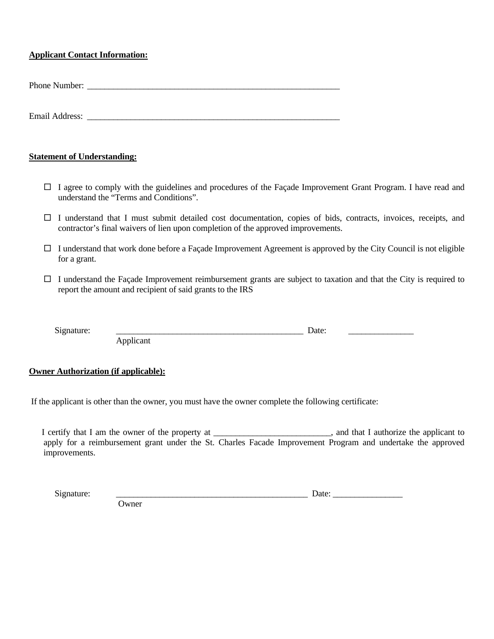# **Applicant Contact Information:**

Phone Number: \_\_\_\_\_\_\_\_\_\_\_\_\_\_\_\_\_\_\_\_\_\_\_\_\_\_\_\_\_\_\_\_\_\_\_\_\_\_\_\_\_\_\_\_\_\_\_\_\_\_\_\_\_\_\_\_\_\_

Email Address:

# **Statement of Understanding:**

- $\Box$  I agree to comply with the guidelines and procedures of the Facade Improvement Grant Program. I have read and understand the "Terms and Conditions".
- $\Box$  I understand that I must submit detailed cost documentation, copies of bids, contracts, invoices, receipts, and contractor's final waivers of lien upon completion of the approved improvements.
- $\Box$  I understand that work done before a Façade Improvement Agreement is approved by the City Council is not eligible for a grant.
- $\Box$  I understand the Façade Improvement reimbursement grants are subject to taxation and that the City is required to report the amount and recipient of said grants to the IRS

| $\tilde{\phantom{a}}$ |   |  | 'alt<br>. |  |
|-----------------------|---|--|-----------|--|
| -<br>-                | . |  |           |  |

**Owner Authorization (if applicable):** 

If the applicant is other than the owner, you must have the owner complete the following certificate:

I certify that I am the owner of the property at \_\_\_\_\_\_\_\_\_\_\_\_\_\_\_\_\_\_\_\_\_\_, and that I authorize the applicant to apply for a reimbursement grant under the St. Charles Facade Improvement Program and undertake the approved improvements.

Signature: \_\_\_\_\_\_\_\_\_\_\_\_\_\_\_\_\_\_\_\_\_\_\_\_\_\_\_\_\_\_\_\_\_\_\_\_\_\_\_\_\_\_\_\_ Date: \_\_\_\_\_\_\_\_\_\_\_\_\_\_\_\_

**Owner**